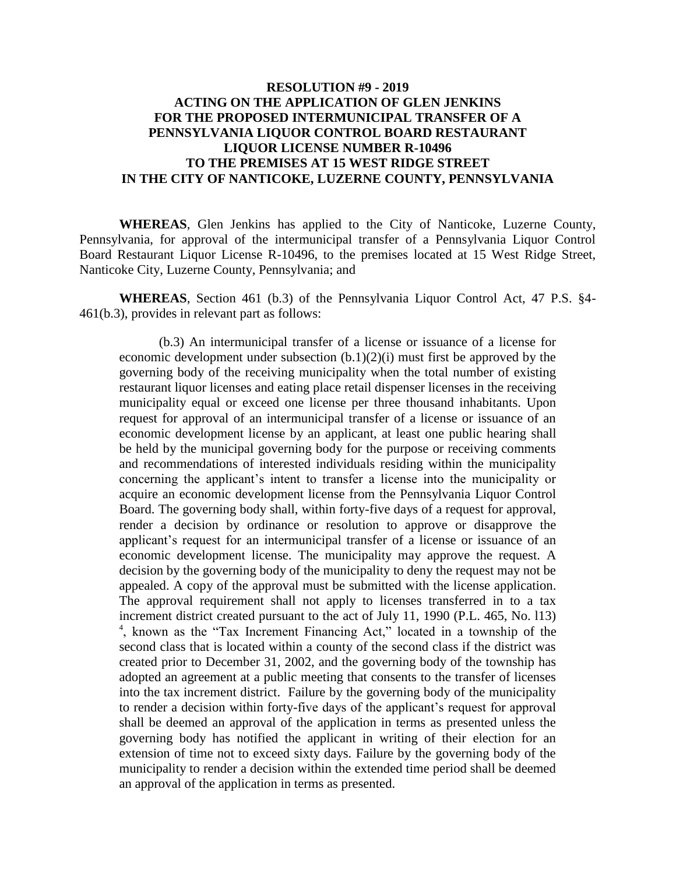## **RESOLUTION #9 - 2019 ACTING ON THE APPLICATION OF GLEN JENKINS FOR THE PROPOSED INTERMUNICIPAL TRANSFER OF A PENNSYLVANIA LIQUOR CONTROL BOARD RESTAURANT LIQUOR LICENSE NUMBER R-10496 TO THE PREMISES AT 15 WEST RIDGE STREET IN THE CITY OF NANTICOKE, LUZERNE COUNTY, PENNSYLVANIA**

**WHEREAS**, Glen Jenkins has applied to the City of Nanticoke, Luzerne County, Pennsylvania, for approval of the intermunicipal transfer of a Pennsylvania Liquor Control Board Restaurant Liquor License R-10496, to the premises located at 15 West Ridge Street, Nanticoke City, Luzerne County, Pennsylvania; and

**WHEREAS**, Section 461 (b.3) of the Pennsylvania Liquor Control Act, 47 P.S. §4- 461(b.3), provides in relevant part as follows:

(b.3) An intermunicipal transfer of a license or issuance of a license for economic development under subsection (b.1)(2)(i) must first be approved by the governing body of the receiving municipality when the total number of existing restaurant liquor licenses and eating place retail dispenser licenses in the receiving municipality equal or exceed one license per three thousand inhabitants. Upon request for approval of an intermunicipal transfer of a license or issuance of an economic development license by an applicant, at least one public hearing shall be held by the municipal governing body for the purpose or receiving comments and recommendations of interested individuals residing within the municipality concerning the applicant's intent to transfer a license into the municipality or acquire an economic development license from the Pennsylvania Liquor Control Board. The governing body shall, within forty-five days of a request for approval, render a decision by ordinance or resolution to approve or disapprove the applicant's request for an intermunicipal transfer of a license or issuance of an economic development license. The municipality may approve the request. A decision by the governing body of the municipality to deny the request may not be appealed. A copy of the approval must be submitted with the license application. The approval requirement shall not apply to licenses transferred in to a tax increment district created pursuant to the act of July 11, 1990 (P.L. 465, No. l13) 4 , known as the "Tax Increment Financing Act," located in a township of the second class that is located within a county of the second class if the district was created prior to December 31, 2002, and the governing body of the township has adopted an agreement at a public meeting that consents to the transfer of licenses into the tax increment district. Failure by the governing body of the municipality to render a decision within forty-five days of the applicant's request for approval shall be deemed an approval of the application in terms as presented unless the governing body has notified the applicant in writing of their election for an extension of time not to exceed sixty days. Failure by the governing body of the municipality to render a decision within the extended time period shall be deemed an approval of the application in terms as presented.